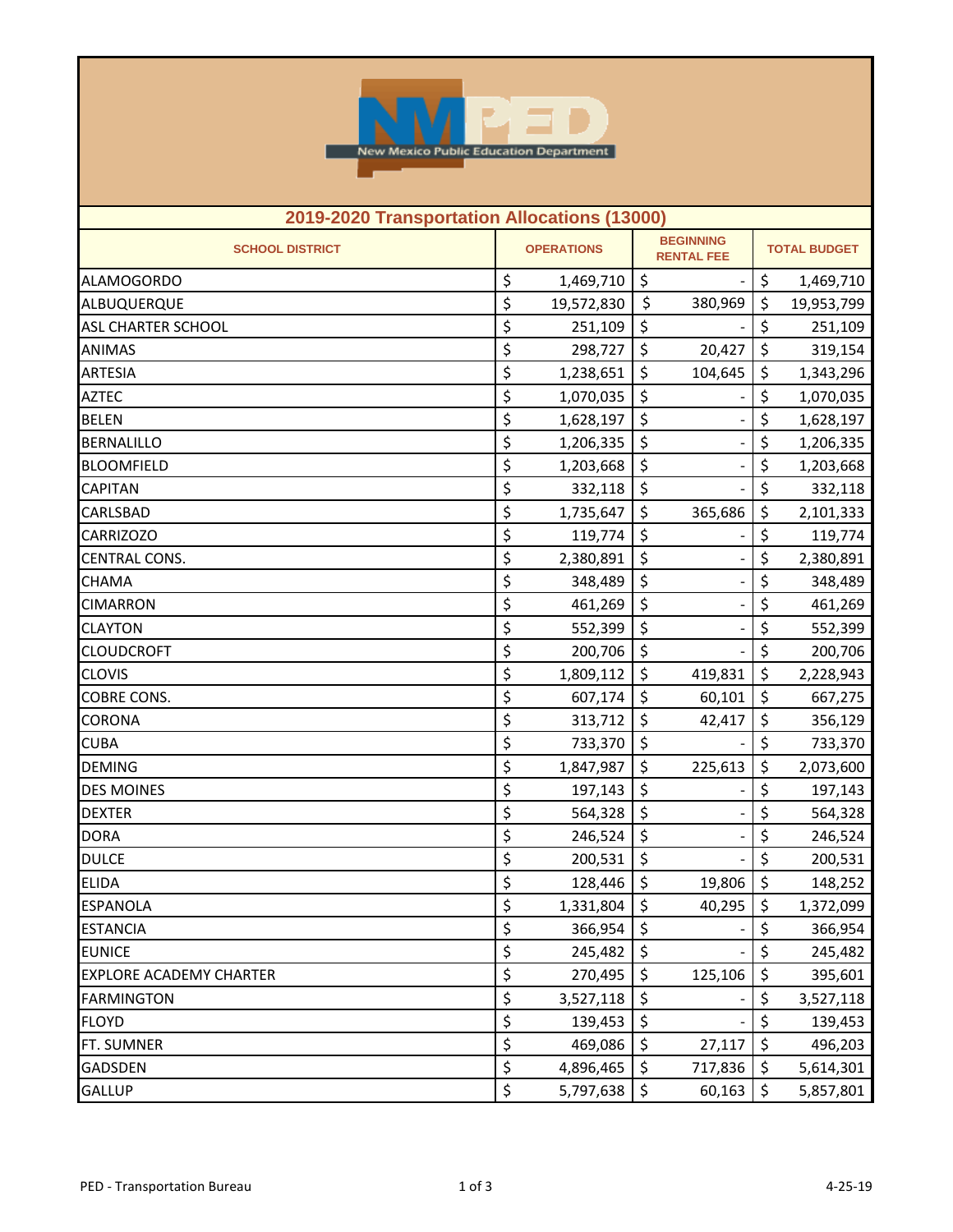

| 2019-2020 Transportation Allocations (13000) |    |                   |                                       |           |                     |            |  |
|----------------------------------------------|----|-------------------|---------------------------------------|-----------|---------------------|------------|--|
| <b>SCHOOL DISTRICT</b>                       |    | <b>OPERATIONS</b> | <b>BEGINNING</b><br><b>RENTAL FEE</b> |           | <b>TOTAL BUDGET</b> |            |  |
| <b>ALAMOGORDO</b>                            | \$ | 1,469,710         | \$                                    |           | \$                  | 1,469,710  |  |
| ALBUQUERQUE                                  | \$ | 19,572,830        | \$                                    | 380,969   | \$                  | 19,953,799 |  |
| <b>ASL CHARTER SCHOOL</b>                    | \$ | 251,109           | \$                                    |           | \$                  | 251,109    |  |
| <b>ANIMAS</b>                                | \$ | 298,727           | \$                                    | 20,427    | \$                  | 319,154    |  |
| <b>ARTESIA</b>                               | \$ | 1,238,651         | \$                                    | 104,645   | \$                  | 1,343,296  |  |
| <b>AZTEC</b>                                 | \$ | 1,070,035         | \$                                    |           | \$                  | 1,070,035  |  |
| <b>BELEN</b>                                 | \$ | 1,628,197         | \$                                    |           | \$                  | 1,628,197  |  |
| <b>BERNALILLO</b>                            | \$ | 1,206,335         | \$                                    |           | \$                  | 1,206,335  |  |
| <b>BLOOMFIELD</b>                            | \$ | 1,203,668         | \$                                    |           | \$                  | 1,203,668  |  |
| <b>CAPITAN</b>                               | \$ | 332,118           | \$                                    |           | \$                  | 332,118    |  |
| CARLSBAD                                     | \$ | 1,735,647         | \$                                    | 365,686   | \$                  | 2,101,333  |  |
| <b>CARRIZOZO</b>                             | \$ | 119,774           | \$                                    |           | \$                  | 119,774    |  |
| <b>CENTRAL CONS.</b>                         | \$ | 2,380,891         | \$                                    |           | \$                  | 2,380,891  |  |
| <b>CHAMA</b>                                 | \$ | 348,489           | \$                                    |           | \$                  | 348,489    |  |
| <b>CIMARRON</b>                              | \$ | 461,269           | \$                                    |           | \$                  | 461,269    |  |
| <b>CLAYTON</b>                               | \$ | 552,399           | \$                                    |           | \$                  | 552,399    |  |
| <b>CLOUDCROFT</b>                            | \$ | 200,706           | \$                                    |           | \$                  | 200,706    |  |
| <b>CLOVIS</b>                                | \$ | 1,809,112         | \$                                    | 419,831   | \$                  | 2,228,943  |  |
| COBRE CONS.                                  | \$ | 607,174           | \$                                    | 60,101    | \$                  | 667,275    |  |
| <b>CORONA</b>                                | \$ | 313,712           | \$                                    | 42,417    | \$                  | 356,129    |  |
| <b>CUBA</b>                                  | \$ | 733,370           | \$                                    |           | \$                  | 733,370    |  |
| <b>DEMING</b>                                | \$ | 1,847,987         | \$                                    | 225,613   | \$                  | 2,073,600  |  |
| <b>DES MOINES</b>                            | \$ | 197,143           | \$                                    |           | \$                  | 197,143    |  |
| <b>DEXTER</b>                                | \$ | 564,328           | \$                                    |           | \$                  | 564,328    |  |
| <b>DORA</b>                                  | \$ | 246,524           | \$                                    |           | \$                  | 246,524    |  |
| <b>DULCE</b>                                 | \$ | 200,531           | \$                                    |           | \$                  | 200,531    |  |
| <b>ELIDA</b>                                 | \$ | 128,446           | \$                                    | 19,806    | \$                  | 148,252    |  |
| <b>ESPANOLA</b>                              | \$ | $1,331,804$ \$    |                                       | 40,295 \$ |                     | 1,372,099  |  |
| <b>ESTANCIA</b>                              | \$ | 366,954           | \$                                    |           | \$                  | 366,954    |  |
| <b>EUNICE</b>                                | \$ | 245,482           | \$                                    |           | \$                  | 245,482    |  |
| <b>EXPLORE ACADEMY CHARTER</b>               | \$ | 270,495           | \$                                    | 125,106   | \$                  | 395,601    |  |
| <b>FARMINGTON</b>                            | \$ | 3,527,118         | \$                                    |           | \$                  | 3,527,118  |  |
| <b>FLOYD</b>                                 | \$ | 139,453           | \$                                    |           | \$                  | 139,453    |  |
| FT. SUMNER                                   | \$ | 469,086           | \$                                    | 27,117    | \$                  | 496,203    |  |
| <b>GADSDEN</b>                               | \$ | 4,896,465         | \$                                    | 717,836   | \$                  | 5,614,301  |  |
| <b>GALLUP</b>                                | \$ | 5,797,638         | \$                                    | 60,163    | \$                  | 5,857,801  |  |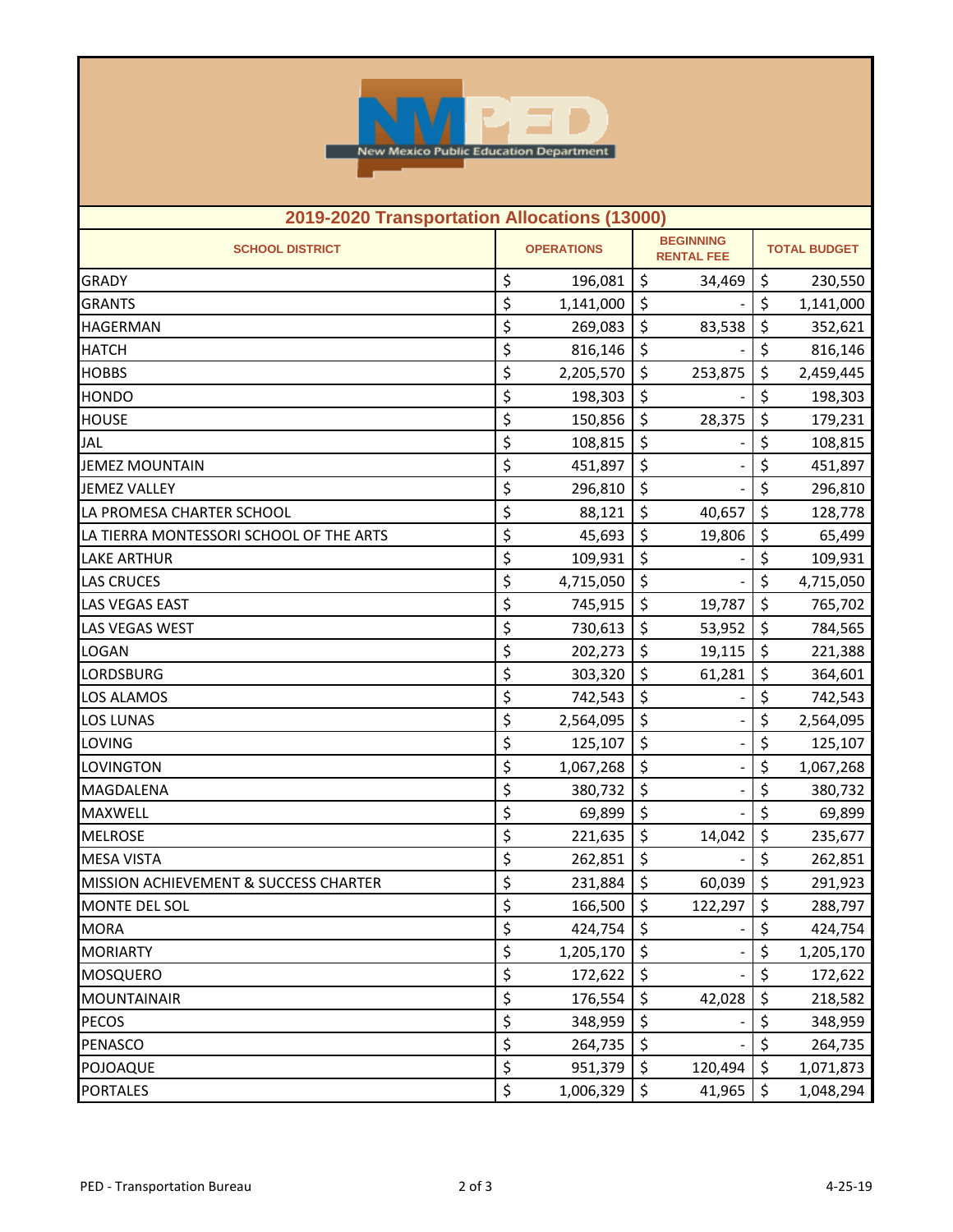

| 2019-2020 Transportation Allocations (13000) |    |                                                            |    |                     |         |           |  |
|----------------------------------------------|----|------------------------------------------------------------|----|---------------------|---------|-----------|--|
| <b>SCHOOL DISTRICT</b>                       |    | <b>BEGINNING</b><br><b>OPERATIONS</b><br><b>RENTAL FEE</b> |    | <b>TOTAL BUDGET</b> |         |           |  |
| <b>GRADY</b>                                 | \$ | 196,081                                                    | \$ | 34,469              | \$      | 230,550   |  |
| <b>GRANTS</b>                                | \$ | 1,141,000                                                  | \$ |                     | \$      | 1,141,000 |  |
| <b>HAGERMAN</b>                              | \$ | 269,083                                                    | \$ | 83,538              | \$      | 352,621   |  |
| <b>HATCH</b>                                 | \$ | 816,146                                                    | \$ |                     | \$      | 816,146   |  |
| <b>HOBBS</b>                                 | \$ | 2,205,570                                                  | \$ | 253,875             | \$      | 2,459,445 |  |
| <b>HONDO</b>                                 | \$ | 198,303                                                    | \$ |                     | \$      | 198,303   |  |
| <b>HOUSE</b>                                 | \$ | 150,856                                                    | \$ | 28,375              | \$      | 179,231   |  |
| <b>JAL</b>                                   | \$ | 108,815                                                    | \$ |                     | \$      | 108,815   |  |
| <b>JEMEZ MOUNTAIN</b>                        | \$ | 451,897                                                    | \$ |                     | \$      | 451,897   |  |
| <b>JEMEZ VALLEY</b>                          | \$ | 296,810                                                    | \$ |                     | \$      | 296,810   |  |
| LA PROMESA CHARTER SCHOOL                    | \$ | 88,121                                                     | \$ | 40,657              | \$      | 128,778   |  |
| LA TIERRA MONTESSORI SCHOOL OF THE ARTS      | \$ | 45,693                                                     | \$ | 19,806              | \$      | 65,499    |  |
| <b>LAKE ARTHUR</b>                           | \$ | 109,931                                                    | \$ |                     | \$      | 109,931   |  |
| <b>LAS CRUCES</b>                            | \$ | 4,715,050                                                  | \$ |                     | \$      | 4,715,050 |  |
| <b>LAS VEGAS EAST</b>                        | \$ | 745,915                                                    | \$ | 19,787              | \$      | 765,702   |  |
| LAS VEGAS WEST                               | \$ | 730,613                                                    | \$ | 53,952              | \$      | 784,565   |  |
| LOGAN                                        | \$ | 202,273                                                    | \$ | 19,115              | \$      | 221,388   |  |
| LORDSBURG                                    | \$ | 303,320                                                    | \$ | 61,281              | \$      | 364,601   |  |
| <b>LOS ALAMOS</b>                            | \$ | 742,543                                                    | \$ |                     | \$      | 742,543   |  |
| <b>LOS LUNAS</b>                             | \$ | 2,564,095                                                  | \$ |                     | \$      | 2,564,095 |  |
| LOVING                                       | \$ | 125,107                                                    | \$ |                     | \$      | 125,107   |  |
| LOVINGTON                                    | \$ | 1,067,268                                                  | \$ |                     | \$      | 1,067,268 |  |
| MAGDALENA                                    | \$ | 380,732                                                    | \$ |                     | \$      | 380,732   |  |
| <b>MAXWELL</b>                               | \$ | 69,899                                                     | \$ |                     | \$      | 69,899    |  |
| <b>MELROSE</b>                               | \$ | 221,635                                                    | \$ | 14,042              | \$      | 235,677   |  |
| <b>MESA VISTA</b>                            | \$ | 262,851                                                    | \$ |                     | \$      | 262,851   |  |
| MISSION ACHIEVEMENT & SUCCESS CHARTER        | \$ | 231,884                                                    | \$ | 60,039              | \$      | 291,923   |  |
| MONTE DEL SOL                                | \$ | 166,500                                                    | \$ | 122,297             | \$      | 288,797   |  |
| <b>MORA</b>                                  | \$ | 424,754                                                    | \$ |                     | \$      | 424,754   |  |
| <b>MORIARTY</b>                              | \$ | 1,205,170                                                  | \$ |                     | \$      | 1,205,170 |  |
| <b>MOSQUERO</b>                              | \$ | 172,622                                                    | \$ |                     | \$      | 172,622   |  |
| <b>MOUNTAINAIR</b>                           | \$ | 176,554                                                    | \$ | 42,028              | \$      | 218,582   |  |
| <b>PECOS</b>                                 | \$ | 348,959                                                    | \$ |                     | \$      | 348,959   |  |
| PENASCO                                      | \$ | 264,735                                                    | \$ |                     | \$      | 264,735   |  |
| POJOAQUE                                     | \$ | 951,379                                                    | \$ | 120,494             | \$      | 1,071,873 |  |
| <b>PORTALES</b>                              | \$ | 1,006,329                                                  | \$ | 41,965              | $\zeta$ | 1,048,294 |  |